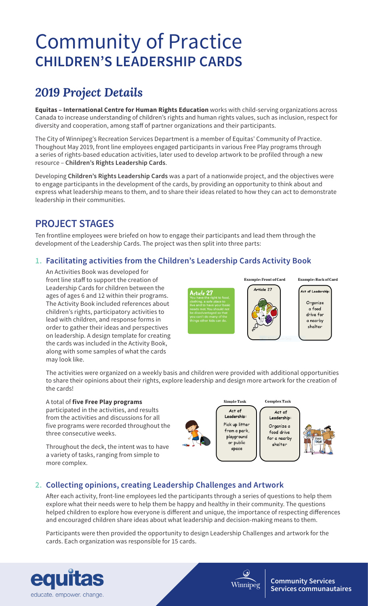# Community of Practice **CHILDREN'S LEADERSHIP CARDS**

## *2019 Project Details*

**Equitas – International Centre for Human Rights Education** works with child-serving organizations across Canada to increase understanding of children's rights and human rights values, such as inclusion, respect for diversity and cooperation, among staff of partner organizations and their participants.

The City of Winnipeg's Recreation Services Department is a member of Equitas' Community of Practice. Thoughout May 2019, front line employees engaged participants in various Free Play programs through a series of rights-based education activities, later used to develop artwork to be profiled through a new resource – **Children's Rights Leadership Cards**.

Developing **Children's Rights Leadership Cards** was a part of a nationwide project, and the objectives were to engage participants in the development of the cards, by providing an opportunity to think about and express what leadership means to them, and to share their ideas related to how they can act to demonstrate leadership in their communities.

## **PROJECT STAGES**

Ten frontline employees were briefed on how to engage their participants and lead them through the development of the Leadership Cards. The project was then split into three parts:

#### **1. Facilitating activities from the Children's Leadership Cards Activity Book**

An Activities Book was developed for front line staff to support the creation of Leadership Cards for children between the ages of ages 6 and 12 within their programs. The Activity Book included references about children's rights, participatory activities to lead with children, and response forms in order to gather their ideas and perspectives on leadership. A design template for creating the cards was included in the Activity Book, along with some samples of what the cards may look like.

Article 27

Article 27

Example: Front of Card

Example: Back of Card

.<br>Act of Leadership Organize a food drive for a nearby shelter

The activities were organized on a weekly basis and children were provided with additional opportunities to share their opinions about their rights, explore leadership and design more artwork for the creation of the cards!

#### A total of **five Free Play programs**

participated in the activities, and results from the activities and discussions for all five programs were recorded throughout the three consecutive weeks.

Throughout the deck, the intent was to have a variety of tasks, ranging from simple to more complex.



#### **2. Collecting opinions, creating Leadership Challenges and Artwork**

After each activity, front-line employees led the participants through a series of questions to help them explore what their needs were to help them be happy and healthy in their community. The questions helped children to explore how everyone is different and unique, the importance of respecting differences and encouraged children share ideas about what leadership and decision-making means to them.

Participants were then provided the opportunity to design Leadership Challenges and artwork for the cards. Each organization was responsible for 15 cards.